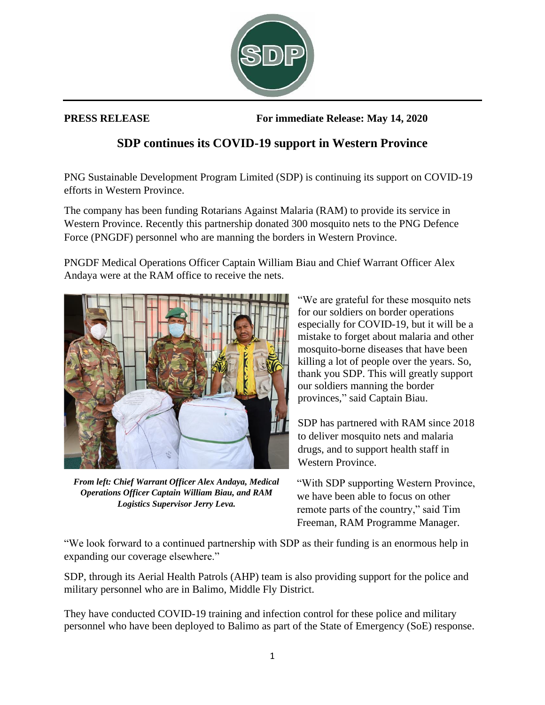

**PRESS RELEASE For immediate Release: May 14, 2020**

## **SDP continues its COVID-19 support in Western Province**

PNG Sustainable Development Program Limited (SDP) is continuing its support on COVID-19 efforts in Western Province.

The company has been funding Rotarians Against Malaria (RAM) to provide its service in Western Province. Recently this partnership donated 300 mosquito nets to the PNG Defence Force (PNGDF) personnel who are manning the borders in Western Province.

PNGDF Medical Operations Officer Captain William Biau and Chief Warrant Officer Alex Andaya were at the RAM office to receive the nets.



*From left: Chief Warrant Officer Alex Andaya, Medical Operations Officer Captain William Biau, and RAM Logistics Supervisor Jerry Leva.*

"We are grateful for these mosquito nets for our soldiers on border operations especially for COVID-19, but it will be a mistake to forget about malaria and other mosquito-borne diseases that have been killing a lot of people over the years. So, thank you SDP. This will greatly support our soldiers manning the border provinces," said Captain Biau.

SDP has partnered with RAM since 2018 to deliver mosquito nets and malaria drugs, and to support health staff in Western Province.

"With SDP supporting Western Province, we have been able to focus on other remote parts of the country," said Tim Freeman, RAM Programme Manager.

"We look forward to a continued partnership with SDP as their funding is an enormous help in expanding our coverage elsewhere."

SDP, through its Aerial Health Patrols (AHP) team is also providing support for the police and military personnel who are in Balimo, Middle Fly District.

They have conducted COVID-19 training and infection control for these police and military personnel who have been deployed to Balimo as part of the State of Emergency (SoE) response.